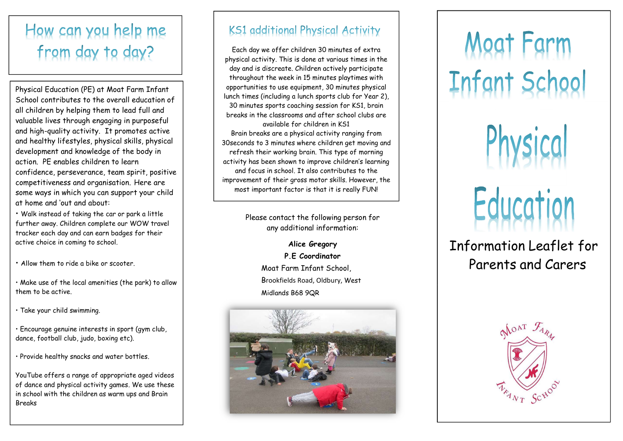# How can you help me from day to day?

Physical Education (PE) at Moat Farm Infant School contributes to the overall education of all children by helping them to lead full and valuable lives through engaging in purposeful and high-quality activity. It promotes active and healthy lifestyles, physical skills, physical development and knowledge of the body in action. PE enables children to learn confidence, perseverance, team spirit, positive competitiveness and organisation. Here are some ways in which you can support your child at home and 'out and about:

• Walk instead of taking the car or park a little further away. Children complete our WOW travel tracker each day and can earn badges for their active choice in coming to school.

• Allow them to ride a bike or scooter.

- Make use of the local amenities (the park) to allow them to be active.
- Take your child swimming.
- Encourage genuine interests in sport (gym club, dance, football club, judo, boxing etc).

• Provide healthy snacks and water bottles.

YouTube offers a range of appropriate aged videos of dance and physical activity games. We use these in school with the children as warm ups and Brain **Breaks** 

## **KS1** additional Physical Activity

Each day we offer children 30 minutes of extra physical activity. This is done at various times in the day and is discreate. Children actively participate throughout the week in 15 minutes playtimes with opportunities to use equipment, 30 minutes physical lunch times (including a lunch sports club for Year 2), 30 minutes sports coaching session for KS1, brain breaks in the classrooms and after school clubs are available for children in KS1 Brain breaks are a physical activity ranging from 30seconds to 3 minutes where children get moving and refresh their working brain. This type of morning activity has been shown to improve children's learning and focus in school. It also contributes to the improvement of their gross motor skills. However, the most important factor is that it is really FUN!

> Please contact the following person for any additional information:

> > Alice Gregory P.E Coordinator Moat Farm Infant School, Brookfields Road, Oldbury, West Midlands B68 9QR



# Infant School<br>Physical<br>Education<br>Information Leaflet for<br>Parents and Carers

Parents and Carers